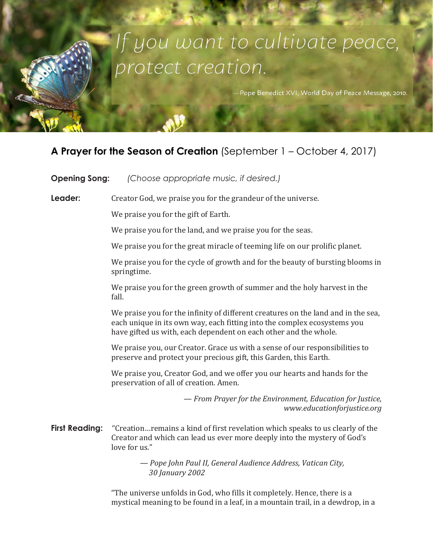# If you want to cultivate peace, protect creation.

Pope Benedict XVI, World Day of Peace Message, 2010.

# **A Prayer for the Season of Creation** (September 1 – October 4, 2017)

| <b>Opening Song:</b>  | (Choose appropriate music, if desired.)                                                                                                                                                                                           |
|-----------------------|-----------------------------------------------------------------------------------------------------------------------------------------------------------------------------------------------------------------------------------|
| Leader:               | Creator God, we praise you for the grandeur of the universe.                                                                                                                                                                      |
|                       | We praise you for the gift of Earth.                                                                                                                                                                                              |
|                       | We praise you for the land, and we praise you for the seas.                                                                                                                                                                       |
|                       | We praise you for the great miracle of teeming life on our prolific planet.                                                                                                                                                       |
|                       | We praise you for the cycle of growth and for the beauty of bursting blooms in<br>springtime.                                                                                                                                     |
|                       | We praise you for the green growth of summer and the holy harvest in the<br>fall.                                                                                                                                                 |
|                       | We praise you for the infinity of different creatures on the land and in the sea,<br>each unique in its own way, each fitting into the complex ecosystems you<br>have gifted us with, each dependent on each other and the whole. |
|                       | We praise you, our Creator. Grace us with a sense of our responsibilities to<br>preserve and protect your precious gift, this Garden, this Earth.                                                                                 |
|                       | We praise you, Creator God, and we offer you our hearts and hands for the<br>preservation of all of creation. Amen.                                                                                                               |
|                       | - From Prayer for the Environment, Education for Justice,<br>www.educationforjustice.org                                                                                                                                          |
| <b>First Reading:</b> | "Creation remains a kind of first revelation which speaks to us clearly of the<br>Creator and which can lead us ever more deeply into the mystery of God's<br>love for us."                                                       |
|                       | - Pope John Paul II, General Audience Address, Vatican City,<br>30 January 2002                                                                                                                                                   |
|                       | "The universe unfolds in God, who fills it completely. Hence, there is a<br>mystical meaning to be found in a leaf, in a mountain trail, in a dewdrop, in a                                                                       |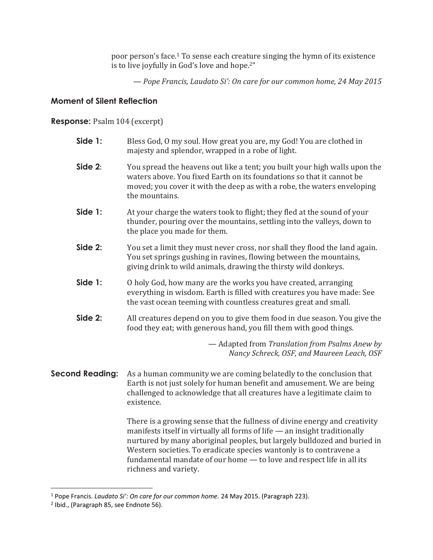poor person's face. <sup>1</sup> To sense each creature singing the hymn of its existence is to live joyfully in God's love and hope.2"

— *Pope Francis, Laudato Si': On care for our common home, 24 May 2015*

# **Moment of Silent Reflection**

# **Response:** Psalm 104 (excerpt)

| Side 1:                | Bless God, O my soul. How great you are, my God! You are clothed in<br>majesty and splendor, wrapped in a robe of light.                                                                                                                                                                                                                                                                                      |
|------------------------|---------------------------------------------------------------------------------------------------------------------------------------------------------------------------------------------------------------------------------------------------------------------------------------------------------------------------------------------------------------------------------------------------------------|
| Side 2:                | You spread the heavens out like a tent; you built your high walls upon the<br>waters above. You fixed Earth on its foundations so that it cannot be<br>moved; you cover it with the deep as with a robe, the waters enveloping<br>the mountains.                                                                                                                                                              |
| Side 1:                | At your charge the waters took to flight; they fled at the sound of your<br>thunder, pouring over the mountains, settling into the valleys, down to<br>the place you made for them.                                                                                                                                                                                                                           |
| Side 2:                | You set a limit they must never cross, nor shall they flood the land again.<br>You set springs gushing in ravines, flowing between the mountains,<br>giving drink to wild animals, drawing the thirsty wild donkeys.                                                                                                                                                                                          |
| Side 1:                | O holy God, how many are the works you have created, arranging<br>everything in wisdom. Earth is filled with creatures you have made: See<br>the vast ocean teeming with countless creatures great and small.                                                                                                                                                                                                 |
| Side 2:                | All creatures depend on you to give them food in due season. You give the<br>food they eat; with generous hand, you fill them with good things.                                                                                                                                                                                                                                                               |
|                        | - Adapted from Translation from Psalms Anew by<br>Nancy Schreck, OSF, and Maureen Leach, OSF                                                                                                                                                                                                                                                                                                                  |
| <b>Second Reading:</b> | As a human community we are coming belatedly to the conclusion that<br>Earth is not just solely for human benefit and amusement. We are being<br>challenged to acknowledge that all creatures have a legitimate claim to<br>existence.                                                                                                                                                                        |
|                        | There is a growing sense that the fullness of divine energy and creativity<br>manifests itself in virtually all forms of life - an insight traditionally<br>nurtured by many aboriginal peoples, but largely bulldozed and buried in<br>Western societies. To eradicate species wantonly is to contravene a<br>fundamental mandate of our home - to love and respect life in all its<br>richness and variety. |

l

<sup>1</sup> Pope Francis. *Laudato Si': On care for our common home.* 24 May 2015. (Paragraph 223).

<sup>&</sup>lt;sup>2</sup> Ibid., (Paragraph 85, see Endnote 56).